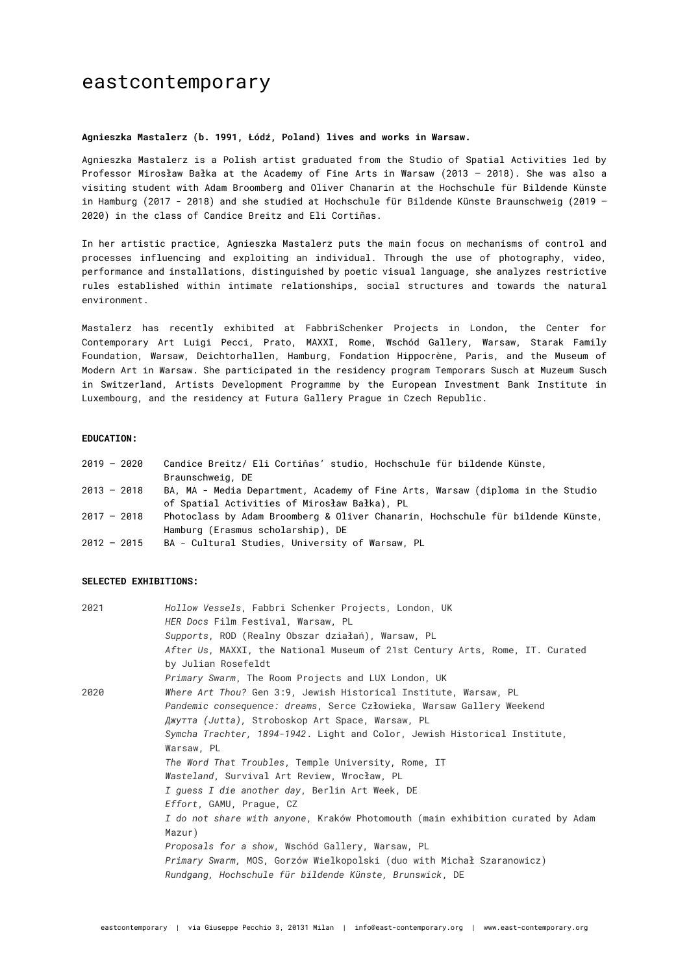## eastcontemporary

#### **Agnieszka Mastalerz (b. 1991, Łódź, Poland) lives and works in Warsaw.**

Agnieszka Mastalerz is a Polish artist graduated from the Studio of Spatial Activities led by Professor Mirosław Bałka at the Academy of Fine Arts in Warsaw (2013 – 2018). She was also a visiting student with Adam Broomberg and Oliver Chanarin at the Hochschule für Bildende Künste in Hamburg (2017 - 2018) and she studied at Hochschule für Bildende Künste Braunschweig (2019 – 2020) in the class of Candice Breitz and Eli Cortiñas.

In her artistic practice, Agnieszka Mastalerz puts the main focus on mechanisms of control and processes influencing and exploiting an individual. Through the use of photography, video, performance and installations, distinguished by poetic visual language, she analyzes restrictive rules established within intimate relationships, social structures and towards the natural environment.

Mastalerz has recently exhibited at FabbriSchenker Projects in London, the Center for Contemporary Art Luigi Pecci, Prato, MAXXI, Rome, Wschód Gallery, Warsaw, Starak Family Foundation, Warsaw, Deichtorhallen, Hamburg, Fondation Hippocrène, Paris, and the Museum of Modern Art in Warsaw. She participated in the residency program Temporars Susch at Muzeum Susch in Switzerland, Artists Development Programme by the European Investment Bank Institute in Luxembourg, and the residency at Futura Gallery Prague in Czech Republic.

### **EDUCATION:**

2019 – 2020 Candice Breitz/ Eli Cortiňas' studio, Hochschule für bildende Künste, Braunschweig, DE 2013 – 2018 BA, MA - Media Department, Academy of Fine Arts, Warsaw (diploma in the Studio of Spatial Activities of Mirosław Bałka), PL 2017 – 2018 Photoclass by Adam Broomberg & Oliver Chanarin, Hochschule für bildende Künste, Hamburg (Erasmus scholarship), DE 2012 – 2015 BA - Cultural Studies, University of Warsaw, PL

### **SELECTED EXHIBITIONS:**

| 2021 | Hollow Vessels, Fabbri Schenker Projects, London, UK                           |
|------|--------------------------------------------------------------------------------|
|      | HER Docs Film Festival, Warsaw, PL                                             |
|      | Supports, ROD (Realny Obszar działań), Warsaw, PL                              |
|      | After Us, MAXXI, the National Museum of 21st Century Arts, Rome, IT. Curated   |
|      | by Julian Rosefeldt                                                            |
|      | <i>Primary Swarm,</i> The Room Projects and LUX London, UK                     |
| 2020 | Where Art Thou? Gen 3:9, Jewish Historical Institute, Warsaw, PL               |
|      | <i>Pandemic consequence: dreams,</i> Serce Człowieka, Warsaw Gallery Weekend   |
|      | Джутта (Jutta), Stroboskop Art Space, Warsaw, PL                               |
|      | Symcha Trachter, 1894-1942. Light and Color, Jewish Historical Institute,      |
|      | Warsaw, PL                                                                     |
|      | The Word That Troubles, Temple University, Rome, IT                            |
|      | Wasteland, Survival Art Review, Wrocław, PL                                    |
|      | I guess I die another day, Berlin Art Week, DE                                 |
|      | Effort, GAMU, Prague, CZ                                                       |
|      | I do not share with anyone, Kraków Photomouth (main exhibition curated by Adam |
|      | Mazur)                                                                         |
|      | Proposals for a show, Wschód Gallery, Warsaw, PL                               |
|      | Primary Swarm, MOS, Gorzów Wielkopolski (duo with Michał Szaranowicz)          |
|      | Rundgang, Hochschule für bildende Künste, Brunswick, DE                        |
|      |                                                                                |